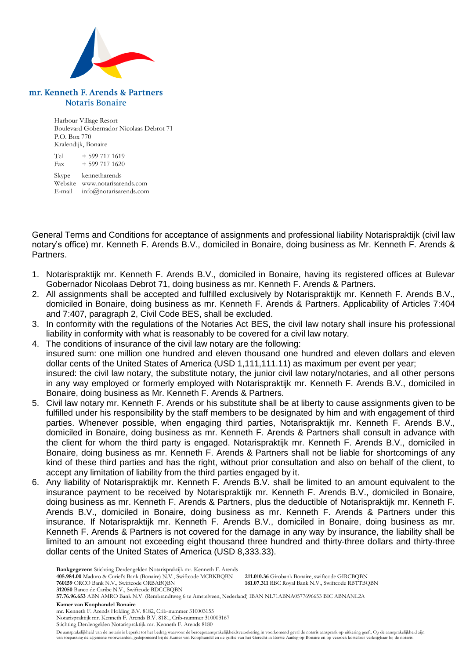

## mr. Kenneth F. Arends & Partners **Notaris Bonaire**

Harbour Village Resort Boulevard Gobernador Nicolaas Debrot 71 P.O. Box 770 Kralendijk, Bonaire

 $Tel + 599 717 1619$ Fax  $+ 599 717 1620$ 

Skype kennetharends Website www.notarisarends.com E-mail info@notarisarends.com

General Terms and Conditions for acceptance of assignments and professional liability Notarispraktijk (civil law notary's office) mr. Kenneth F. Arends B.V., domiciled in Bonaire, doing business as Mr. Kenneth F. Arends & Partners.

- 1. Notarispraktijk mr. Kenneth F. Arends B.V., domiciled in Bonaire, having its registered offices at Bulevar Gobernador Nicolaas Debrot 71, doing business as mr. Kenneth F. Arends & Partners.
- 2. All assignments shall be accepted and fulfilled exclusively by Notarispraktijk mr. Kenneth F. Arends B.V., domiciled in Bonaire, doing business as mr. Kenneth F. Arends & Partners. Applicability of Articles 7:404 and 7:407, paragraph 2, Civil Code BES, shall be excluded.
- 3. In conformity with the regulations of the Notaries Act BES, the civil law notary shall insure his professional liability in conformity with what is reasonably to be covered for a civil law notary.
- 4. The conditions of insurance of the civil law notary are the following: insured sum: one million one hundred and eleven thousand one hundred and eleven dollars and eleven dollar cents of the United States of America (USD 1,111,111.11) as maximum per event per year; insured: the civil law notary, the substitute notary, the junior civil law notary/notaries, and all other persons in any way employed or formerly employed with Notarispraktijk mr. Kenneth F. Arends B.V., domiciled in Bonaire, doing business as Mr. Kenneth F. Arends & Partners.
- 5. Civil law notary mr. Kenneth F. Arends or his substitute shall be at liberty to cause assignments given to be fulfilled under his responsibility by the staff members to be designated by him and with engagement of third parties. Whenever possible, when engaging third parties, Notarispraktijk mr. Kenneth F. Arends B.V., domiciled in Bonaire, doing business as mr. Kenneth F. Arends & Partners shall consult in advance with the client for whom the third party is engaged. Notarispraktijk mr. Kenneth F. Arends B.V., domiciled in Bonaire, doing business as mr. Kenneth F. Arends & Partners shall not be liable for shortcomings of any kind of these third parties and has the right, without prior consultation and also on behalf of the client, to accept any limitation of liability from the third parties engaged by it.
- 6. Any liability of Notarispraktijk mr. Kenneth F. Arends B.V. shall be limited to an amount equivalent to the insurance payment to be received by Notarispraktijk mr. Kenneth F. Arends B.V., domiciled in Bonaire, doing business as mr. Kenneth F. Arends & Partners, plus the deductible of Notarispraktijk mr. Kenneth F. Arends B.V., domiciled in Bonaire, doing business as mr. Kenneth F. Arends & Partners under this insurance. If Notarispraktijk mr. Kenneth F. Arends B.V., domiciled in Bonaire, doing business as mr. Kenneth F. Arends & Partners is not covered for the damage in any way by insurance, the liability shall be limited to an amount not exceeding eight thousand three hundred and thirty-three dollars and thirty-three dollar cents of the United States of America (USD 8,333.33).

**Bankgegevens** Stichting Derdengelden Notarispraktijk mr. Kenneth F. Arends

**405.984.00** Maduro & Curiel's Bank (Bonaire) N.V., Swiftcode MCBKBQBN **211.010.36** Girobank Bonaire, swiftcode GIRCBQBN **181.07.311 RBC Royal Bank N.V., Swiftcode RBTTBQBN** 

**57.76.96.653** ABN AMRO Bank N.V. (Rembrandtweg 6 te Amstelveen, Nederland) IBAN NL71ABNA0577696653 BIC ABNANL2A

**Kamer van Koophandel Bonaire**

mr. Kenneth F. Arends Holding B.V. 8182, Crib-nummer 310003155 Notarispraktijk mr. Kenneth F. Arends B.V. 8181, Crib-nummer 310003167 Stichting Derdengelden Notarispraktijk mr. Kenneth F. Arends 8180

De aansprakelijkheid van de notaris is beperkt tot het bedrag waarvoor de beroepsaansprakelijkheidsverzekering in voorkomend geval de notaris aanspraak op uitkering geeft. Op de aansprakelijkheid zijn van toepassing de algemene voorwaarden, gedeponeerd bij de Kamer van Koophandel en de griffie van het Gerecht in Eerste Aanleg op Bonaire en op verzoek kosteloos verkrijgbaar bij de notaris.

**<sup>312050</sup>** Banco de Caribe N.V., Swiftcode BDCCBQBN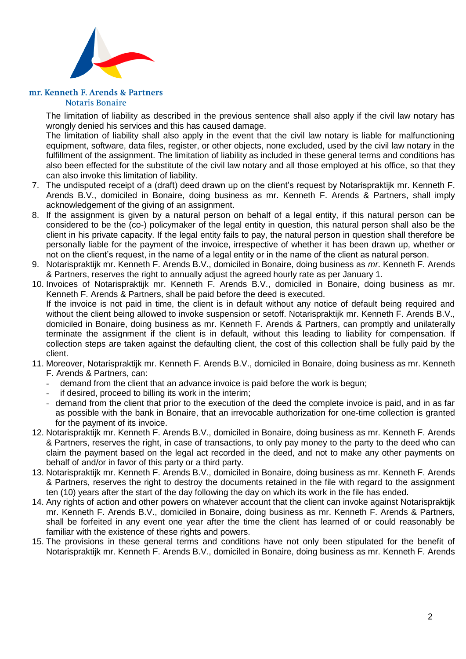

## mr. Kenneth F. Arends & Partners **Notaris Bonaire**

The limitation of liability as described in the previous sentence shall also apply if the civil law notary has wrongly denied his services and this has caused damage.

The limitation of liability shall also apply in the event that the civil law notary is liable for malfunctioning equipment, software, data files, register, or other objects, none excluded, used by the civil law notary in the fulfillment of the assignment. The limitation of liability as included in these general terms and conditions has also been effected for the substitute of the civil law notary and all those employed at his office, so that they can also invoke this limitation of liability.

- 7. The undisputed receipt of a (draft) deed drawn up on the client's request by Notarispraktijk mr. Kenneth F. Arends B.V., domiciled in Bonaire, doing business as mr. Kenneth F. Arends & Partners, shall imply acknowledgement of the giving of an assignment.
- 8. If the assignment is given by a natural person on behalf of a legal entity, if this natural person can be considered to be the (co-) policymaker of the legal entity in question, this natural person shall also be the client in his private capacity. If the legal entity fails to pay, the natural person in question shall therefore be personally liable for the payment of the invoice, irrespective of whether it has been drawn up, whether or not on the client's request, in the name of a legal entity or in the name of the client as natural person.
- 9. Notarispraktijk mr. Kenneth F. Arends B.V., domiciled in Bonaire, doing business as *mr*. Kenneth F. Arends & Partners, reserves the right to annually adjust the agreed hourly rate as per January 1.
- 10. Invoices of Notarispraktijk mr. Kenneth F. Arends B.V., domiciled in Bonaire, doing business as mr. Kenneth F. Arends & Partners, shall be paid before the deed is executed. If the invoice is not paid in time, the client is in default without any notice of default being required and without the client being allowed to invoke suspension or setoff. Notarispraktijk mr. Kenneth F. Arends B.V., domiciled in Bonaire, doing business as mr. Kenneth F. Arends & Partners, can promptly and unilaterally terminate the assignment if the client is in default, without this leading to liability for compensation. If collection steps are taken against the defaulting client, the cost of this collection shall be fully paid by the client.
- 11. Moreover, Notarispraktijk mr. Kenneth F. Arends B.V., domiciled in Bonaire, doing business as mr. Kenneth F. Arends & Partners, can:
	- demand from the client that an advance invoice is paid before the work is begun;
	- if desired, proceed to billing its work in the interim;
	- demand from the client that prior to the execution of the deed the complete invoice is paid, and in as far as possible with the bank in Bonaire, that an irrevocable authorization for one-time collection is granted for the payment of its invoice.
- 12. Notarispraktijk mr. Kenneth F. Arends B.V., domiciled in Bonaire, doing business as mr. Kenneth F. Arends & Partners, reserves the right, in case of transactions, to only pay money to the party to the deed who can claim the payment based on the legal act recorded in the deed, and not to make any other payments on behalf of and/or in favor of this party or a third party.
- 13. Notarispraktijk mr. Kenneth F. Arends B.V., domiciled in Bonaire, doing business as mr. Kenneth F. Arends & Partners, reserves the right to destroy the documents retained in the file with regard to the assignment ten (10) years after the start of the day following the day on which its work in the file has ended.
- 14. Any rights of action and other powers on whatever account that the client can invoke against Notarispraktijk mr. Kenneth F. Arends B.V., domiciled in Bonaire, doing business as mr. Kenneth F. Arends & Partners, shall be forfeited in any event one year after the time the client has learned of or could reasonably be familiar with the existence of these rights and powers.
- 15. The provisions in these general terms and conditions have not only been stipulated for the benefit of Notarispraktijk mr. Kenneth F. Arends B.V., domiciled in Bonaire, doing business as mr. Kenneth F. Arends